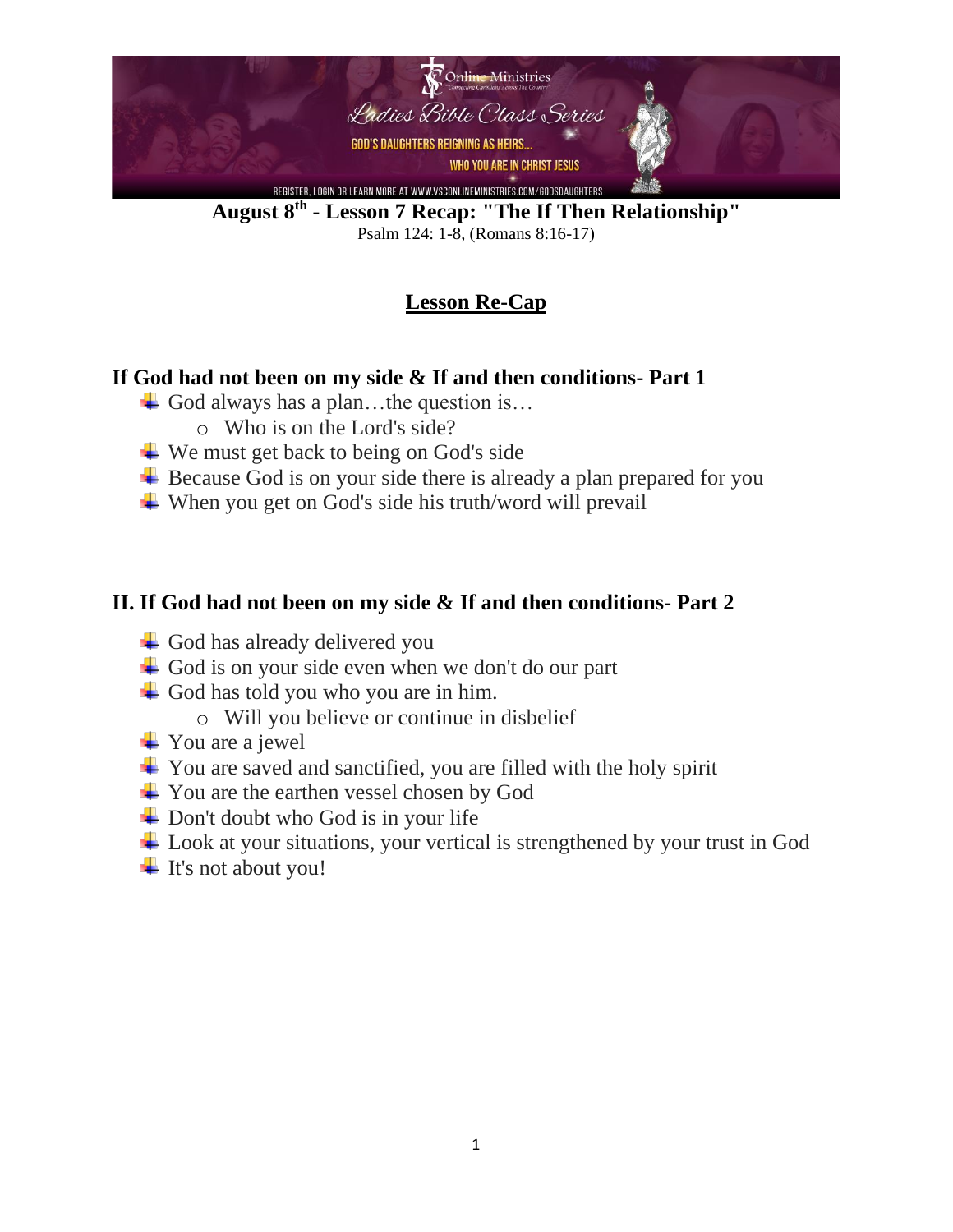

**August 8 th - Lesson 7 Recap: "The If Then Relationship"** Psalm 124: 1-8, (Romans 8:16-17)

# **Lesson Re-Cap**

### **If God had not been on my side & If and then conditions- Part 1**

- God always has a plan...the question is...
	- o Who is on the Lord's side?
- $\overline{\text{L}}$  We must get back to being on God's side
- $\overline{\phantom{a}}$  Because God is on your side there is already a plan prepared for you
- $\overline{\mathbf{u}}$  When you get on God's side his truth/word will prevail

#### **II. If God had not been on my side & If and then conditions- Part 2**

- $\overline{\phantom{a}}$  God has already delivered you
- $\overline{\text{4}}$  God is on your side even when we don't do our part
- God has told you who you are in him.
	- o Will you believe or continue in disbelief
- $\overline{\phantom{a}}$  You are a jewel
- $\overline{\text{4}}$  You are saved and sanctified, you are filled with the holy spirit
- $\frac{1}{\sqrt{2}}$  You are the earthen vessel chosen by God
- $\overline{\phantom{a}}$  Don't doubt who God is in your life
- **↓** Look at your situations, your vertical is strengthened by your trust in God
- $\ddagger$  It's not about you!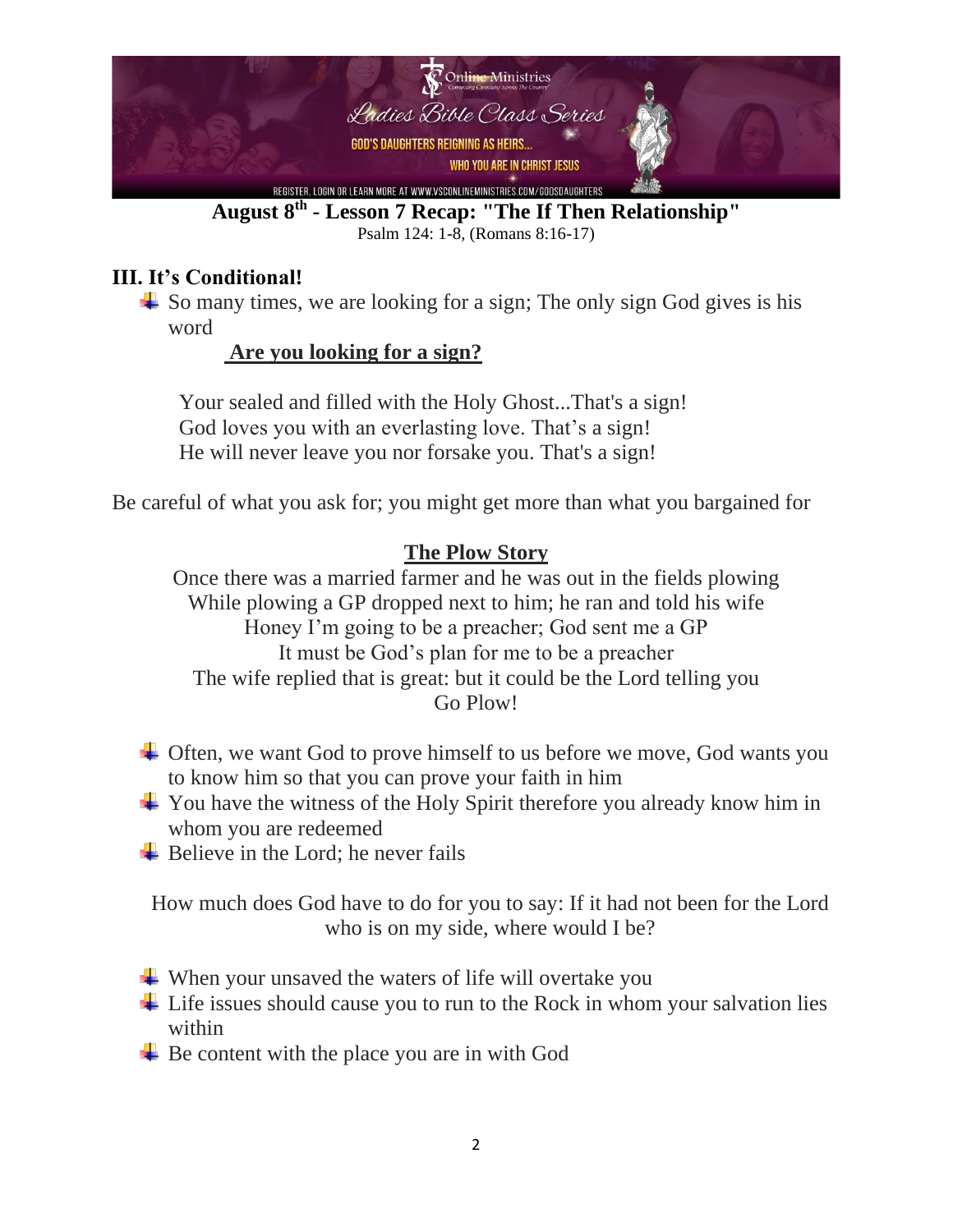

**August 8 th - Lesson 7 Recap: "The If Then Relationship"** Psalm 124: 1-8, (Romans 8:16-17)

## **III. It's Conditional!**

 $\frac{1}{\sqrt{2}}$  So many times, we are looking for a sign; The only sign God gives is his word

### **Are you looking for a sign?**

 Your sealed and filled with the Holy Ghost...That's a sign! God loves you with an everlasting love. That's a sign! He will never leave you nor forsake you. That's a sign!

Be careful of what you ask for; you might get more than what you bargained for

### **The Plow Story**

Once there was a married farmer and he was out in the fields plowing While plowing a GP dropped next to him; he ran and told his wife Honey I'm going to be a preacher; God sent me a GP It must be God's plan for me to be a preacher The wife replied that is great: but it could be the Lord telling you Go Plow!

- $\overline{\phantom{a}}$  Often, we want God to prove himself to us before we move, God wants you to know him so that you can prove your faith in him
- $\overline{\phantom{a}}$  You have the witness of the Holy Spirit therefore you already know him in whom you are redeemed
- $\overline{\phantom{a}}$  Believe in the Lord; he never fails

How much does God have to do for you to say: If it had not been for the Lord who is on my side, where would I be?

- $\ddot{\bullet}$  When your unsaved the waters of life will overtake you
- $\overline{\phantom{a}}$  Life issues should cause you to run to the Rock in whom your salvation lies within
- $\overline{\phantom{a}}$  Be content with the place you are in with God